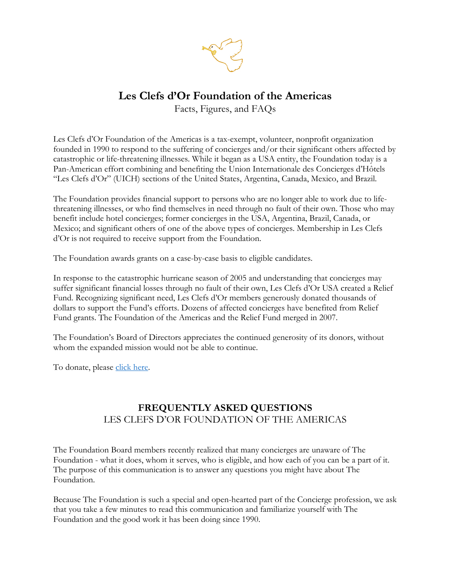

# **Les Clefs d'Or Foundation of the Americas**

Facts, Figures, and FAQs

Les Clefs d'Or Foundation of the Americas is a tax-exempt, volunteer, nonprofit organization founded in 1990 to respond to the suffering of concierges and/or their significant others affected by catastrophic or life-threatening illnesses. While it began as a USA entity, the Foundation today is a Pan-American effort combining and benefiting the Union Internationale des Concierges d'Hôtels "Les Clefs d'Or" (UICH) sections of the United States, Argentina, Canada, Mexico, and Brazil.

The Foundation provides financial support to persons who are no longer able to work due to lifethreatening illnesses, or who find themselves in need through no fault of their own. Those who may benefit include hotel concierges; former concierges in the USA, Argentina, Brazil, Canada, or Mexico; and significant others of one of the above types of concierges. Membership in Les Clefs d'Or is not required to receive support from the Foundation.

The Foundation awards grants on a case-by-case basis to eligible candidates.

In response to the catastrophic hurricane season of 2005 and understanding that concierges may suffer significant financial losses through no fault of their own, Les Clefs d'Or USA created a Relief Fund. Recognizing significant need, Les Clefs d'Or members generously donated thousands of dollars to support the Fund's efforts. Dozens of affected concierges have benefited from Relief Fund grants. The Foundation of the Americas and the Relief Fund merged in 2007.

The Foundation's Board of Directors appreciates the continued generosity of its donors, without whom the expanded mission would not be able to continue.

To donate, please click here.

## **FREQUENTLY ASKED QUESTIONS** LES CLEFS D'OR FOUNDATION OF THE AMERICAS

The Foundation Board members recently realized that many concierges are unaware of The Foundation - what it does, whom it serves, who is eligible, and how each of you can be a part of it. The purpose of this communication is to answer any questions you might have about The Foundation.

Because The Foundation is such a special and open-hearted part of the Concierge profession, we ask that you take a few minutes to read this communication and familiarize yourself with The Foundation and the good work it has been doing since 1990.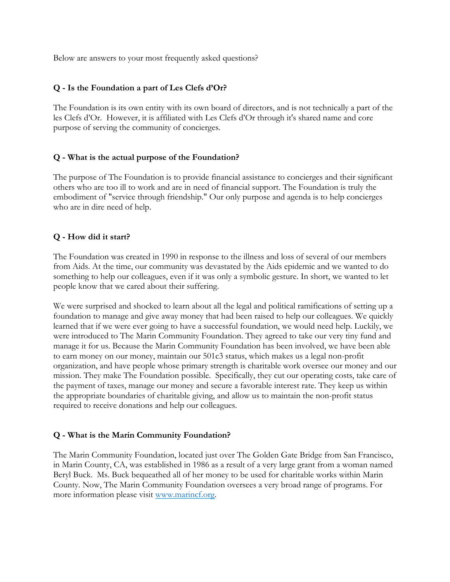Below are answers to your most frequently asked questions?

### **Q - Is the Foundation a part of Les Clefs d'Or?**

The Foundation is its own entity with its own board of directors, and is not technically a part of the les Clefs d'Or. However, it is affiliated with Les Clefs d'Or through it's shared name and core purpose of serving the community of concierges.

### **Q - What is the actual purpose of the Foundation?**

The purpose of The Foundation is to provide financial assistance to concierges and their significant others who are too ill to work and are in need of financial support. The Foundation is truly the embodiment of "service through friendship." Our only purpose and agenda is to help concierges who are in dire need of help.

### **Q - How did it start?**

The Foundation was created in 1990 in response to the illness and loss of several of our members from Aids. At the time, our community was devastated by the Aids epidemic and we wanted to do something to help our colleagues, even if it was only a symbolic gesture. In short, we wanted to let people know that we cared about their suffering.

We were surprised and shocked to learn about all the legal and political ramifications of setting up a foundation to manage and give away money that had been raised to help our colleagues. We quickly learned that if we were ever going to have a successful foundation, we would need help. Luckily, we were introduced to The Marin Community Foundation. They agreed to take our very tiny fund and manage it for us. Because the Marin Community Foundation has been involved, we have been able to earn money on our money, maintain our 501c3 status, which makes us a legal non-profit organization, and have people whose primary strength is charitable work oversee our money and our mission. They make The Foundation possible. Specifically, they cut our operating costs, take care of the payment of taxes, manage our money and secure a favorable interest rate. They keep us within the appropriate boundaries of charitable giving, and allow us to maintain the non-profit status required to receive donations and help our colleagues.

### **Q - What is the Marin Community Foundation?**

The Marin Community Foundation, located just over The Golden Gate Bridge from San Francisco, in Marin County, CA, was established in 1986 as a result of a very large grant from a woman named Beryl Buck. Ms. Buck bequeathed all of her money to be used for charitable works within Marin County. Now, The Marin Community Foundation oversees a very broad range of programs. For more information please visit www.marincf.org.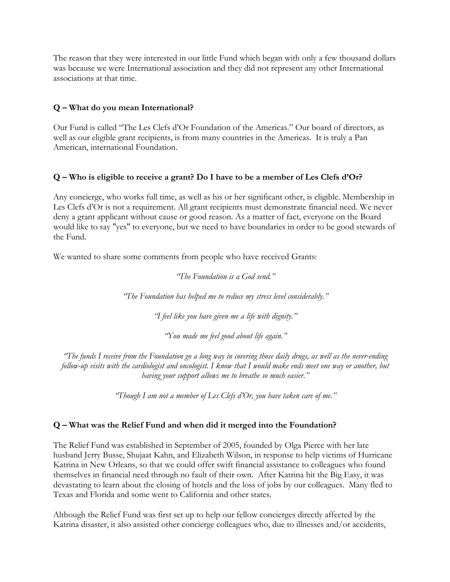The reason that they were interested in our little Fund which began with only a few thousand dollars was because we were International association and they did not represent any other International associations at that time.

### **Q – What do you mean International?**

Our Fund is called "The Les Clefs d'Or Foundation of the Americas." Our board of directors, as well as our eligible grant recipients, is from many countries in the Americas. It is truly a Pan American, international Foundation.

### **Q – Who is eligible to receive a grant? Do I have to be a member of Les Clefs d'Or?**

Any concierge, who works full time, as well as his or her significant other, is eligible. Membership in Les Clefs d'Or is not a requirement. All grant recipients must demonstrate financial need. We never deny a grant applicant without cause or good reason. As a matter of fact, everyone on the Board would like to say "yes" to everyone, but we need to have boundaries in order to be good stewards of the Fund.

We wanted to share some comments from people who have received Grants:

*"The Foundation is a God send."*

*"The Foundation has helped me to reduce my stress level considerably."*

*"I feel like you have given me a life with dignity."*

*"You made me feel good about life again."*

*"The funds I receive from the Foundation go a long way in covering those daily drugs, as well as the never-ending follow-up visits with the cardiologist and oncologist. I know that I would make ends meet one way or another, but having your support allows me to breathe so much easier."*

*"Though I am not a member of Les Clefs d'Or, you have taken care of me."*

### **Q – What was the Relief Fund and when did it merged into the Foundation?**

The Relief Fund was established in September of 2005, founded by Olga Pierce with her late husband Jerry Busse, Shujaat Kahn, and Elizabeth Wilson, in response to help victims of Hurricane Katrina in New Orleans, so that we could offer swift financial assistance to colleagues who found themselves in financial need through no fault of their own. After Katrina hit the Big Easy, it was devastating to learn about the closing of hotels and the loss of jobs by our colleagues. Many fled to Texas and Florida and some went to California and other states.

Although the Relief Fund was first set up to help our fellow concierges directly affected by the Katrina disaster, it also assisted other concierge colleagues who, due to illnesses and/or accidents,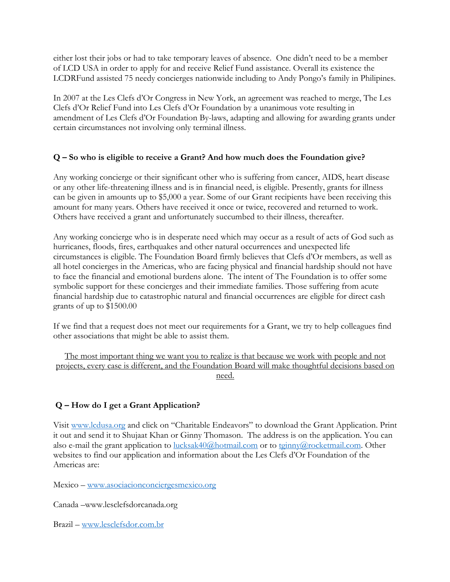either lost their jobs or had to take temporary leaves of absence. One didn't need to be a member of LCD USA in order to apply for and receive Relief Fund assistance. Overall its existence the LCDRFund assisted 75 needy concierges nationwide including to Andy Pongo's family in Philipines.

In 2007 at the Les Clefs d'Or Congress in New York, an agreement was reached to merge, The Les Clefs d'Or Relief Fund into Les Clefs d'Or Foundation by a unanimous vote resulting in amendment of Les Clefs d'Or Foundation By-laws, adapting and allowing for awarding grants under certain circumstances not involving only terminal illness.

### **Q – So who is eligible to receive a Grant? And how much does the Foundation give?**

Any working concierge or their significant other who is suffering from cancer, AIDS, heart disease or any other life-threatening illness and is in financial need, is eligible. Presently, grants for illness can be given in amounts up to \$5,000 a year. Some of our Grant recipients have been receiving this amount for many years. Others have received it once or twice, recovered and returned to work. Others have received a grant and unfortunately succumbed to their illness, thereafter.

Any working concierge who is in desperate need which may occur as a result of acts of God such as hurricanes, floods, fires, earthquakes and other natural occurrences and unexpected life circumstances is eligible. The Foundation Board firmly believes that Clefs d'Or members, as well as all hotel concierges in the Americas, who are facing physical and financial hardship should not have to face the financial and emotional burdens alone. The intent of The Foundation is to offer some symbolic support for these concierges and their immediate families. Those suffering from acute financial hardship due to catastrophic natural and financial occurrences are eligible for direct cash grants of up to \$1500.00

If we find that a request does not meet our requirements for a Grant, we try to help colleagues find other associations that might be able to assist them.

The most important thing we want you to realize is that because we work with people and not projects, every case is different, and the Foundation Board will make thoughtful decisions based on need.

### **Q – How do I get a Grant Application?**

Visit www.lcdusa.org and click on "Charitable Endeavors" to download the Grant Application. Print it out and send it to Shujaat Khan or Ginny Thomason. The address is on the application. You can also e-mail the grant application to lucksak40@hotmail.com or to tginny@rocketmail.com. Other websites to find our application and information about the Les Clefs d'Or Foundation of the Americas are:

Mexico – www.asociacionconciergesmexico.org

Canada –www.lesclefsdorcanada.org

Brazil – www.lesclefsdor.com.br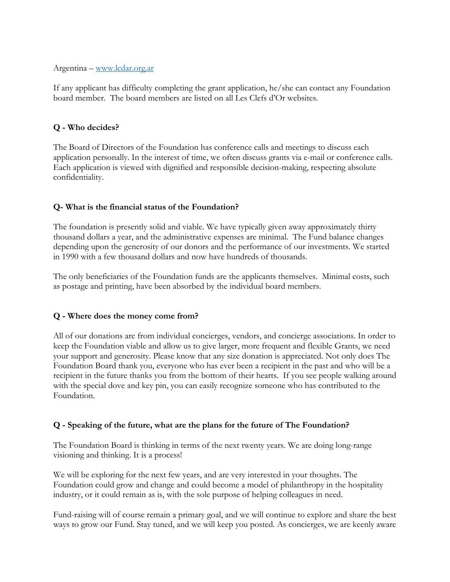#### Argentina – www.lcdar.org.ar

If any applicant has difficulty completing the grant application, he/she can contact any Foundation board member. The board members are listed on all Les Clefs d'Or websites.

### **Q - Who decides?**

The Board of Directors of the Foundation has conference calls and meetings to discuss each application personally. In the interest of time, we often discuss grants via e-mail or conference calls. Each application is viewed with dignified and responsible decision-making, respecting absolute confidentiality.

### **Q- What is the financial status of the Foundation?**

The foundation is presently solid and viable. We have typically given away approximately thirty thousand dollars a year, and the administrative expenses are minimal. The Fund balance changes depending upon the generosity of our donors and the performance of our investments. We started in 1990 with a few thousand dollars and now have hundreds of thousands.

The only beneficiaries of the Foundation funds are the applicants themselves. Minimal costs, such as postage and printing, have been absorbed by the individual board members.

### **Q - Where does the money come from?**

All of our donations are from individual concierges, vendors, and concierge associations. In order to keep the Foundation viable and allow us to give larger, more frequent and flexible Grants, we need your support and generosity. Please know that any size donation is appreciated. Not only does The Foundation Board thank you, everyone who has ever been a recipient in the past and who will be a recipient in the future thanks you from the bottom of their hearts. If you see people walking around with the special dove and key pin, you can easily recognize someone who has contributed to the Foundation.

### **Q - Speaking of the future, what are the plans for the future of The Foundation?**

The Foundation Board is thinking in terms of the next twenty years. We are doing long-range visioning and thinking. It is a process!

We will be exploring for the next few years, and are very interested in your thoughts. The Foundation could grow and change and could become a model of philanthropy in the hospitality industry, or it could remain as is, with the sole purpose of helping colleagues in need.

Fund-raising will of course remain a primary goal, and we will continue to explore and share the best ways to grow our Fund. Stay tuned, and we will keep you posted. As concierges, we are keenly aware